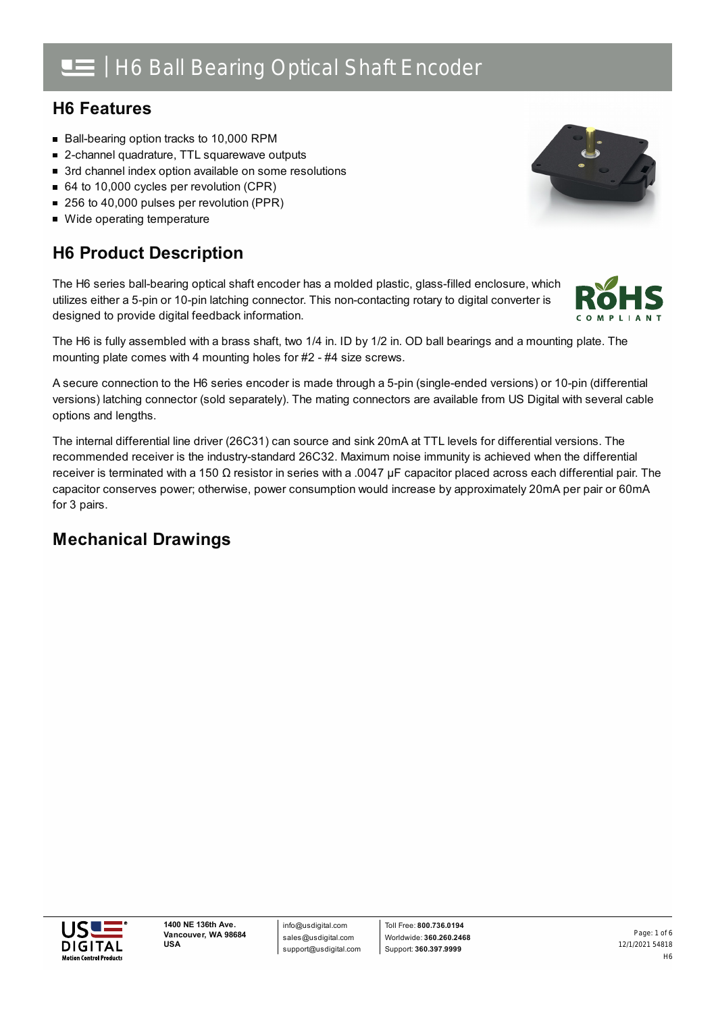## H6 Ball Bearing Optical Shaft Encoder

## **H6 Features**

- Ball-bearing option tracks to 10,000 RPM
- 2-channel quadrature, TTL squarewave outputs
- 3rd channel index option available on some resolutions
- 64 to 10,000 cycles per revolution (CPR)
- 256 to 40,000 pulses per revolution (PPR)
- Wide operating temperature

## **H6 Product Description**

The H6 series ball-bearing optical shaft encoder has a molded plastic, glass-filled enclosure, which utilizes either a 5-pin or 10-pin latching connector. This non-contacting rotary to digital converter is designed to provide digital feedback information.

The H6 is fully assembled with a brass shaft, two 1/4 in. ID by 1/2 in. OD ball bearings and a mounting plate. The mounting plate comes with 4 mounting holes for #2 - #4 size screws.

A secure connection to the H6 series encoder is made through a 5-pin (single-ended versions) or 10-pin (differential versions) latching connector (sold separately). The mating connectors are available from US Digital with several cable options and lengths.

The internal differential line driver (26C31) can source and sink 20mA at TTL levels for differential versions. The recommended receiver is the industry-standard 26C32. Maximum noise immunity is achieved when the differential receiver is terminated with a 150 Ω resistor in series with a .0047 μF capacitor placed across each differential pair. The capacitor conserves power; otherwise, power consumption would increase by approximately 20mA per pair or 60mA for 3 pairs.

## **Mechanical Drawings**





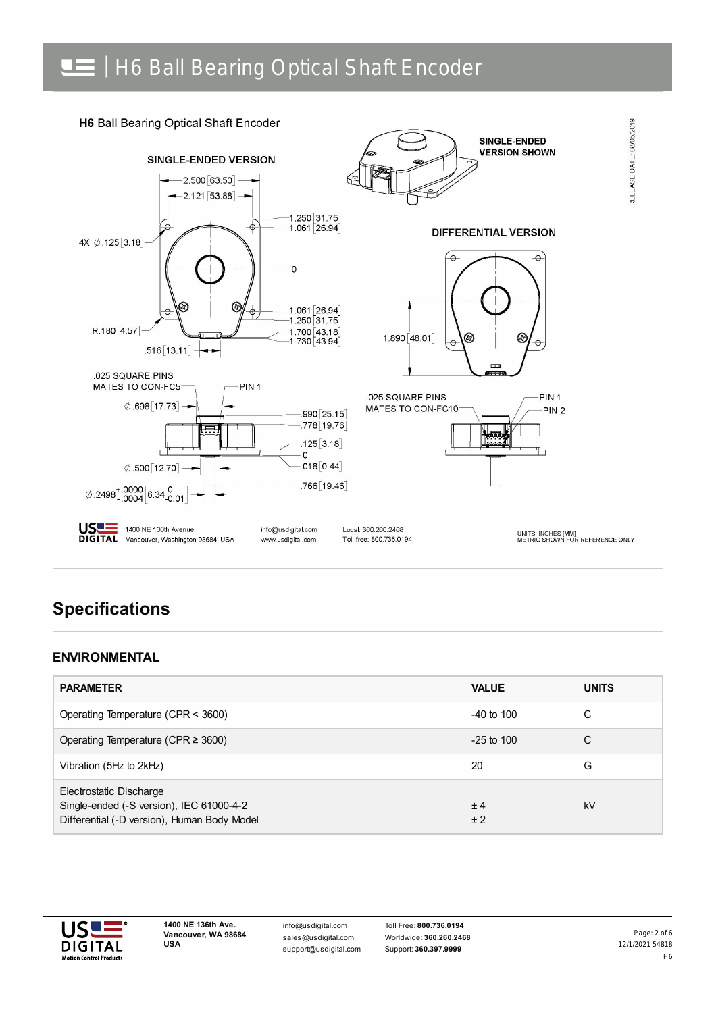# | H6 Ball Bearing Optical Shaft Encoder



## **Specifications**

#### **ENVIRONMENTAL**

| <b>PARAMETER</b>                                                                                                   | <b>VALUE</b>   | <b>UNITS</b> |
|--------------------------------------------------------------------------------------------------------------------|----------------|--------------|
| Operating Temperature (CPR < 3600)                                                                                 | $-40$ to $100$ | C            |
| Operating Temperature (CPR $\geq$ 3600)                                                                            | $-25$ to 100   | C            |
| Vibration (5Hz to 2kHz)                                                                                            | 20             | G            |
| Electrostatic Discharge<br>Single-ended (-S version), IEC 61000-4-2<br>Differential (-D version), Human Body Model | ±4<br>± 2      | kV           |



info@usdigital.com sales@usdigital.com support@usdigital.com

Toll Free: **800.736.0194** Worldwide: **360.260.2468** Support: **360.397.9999**

12/1/2021 54818 H6 Page: 2 of 6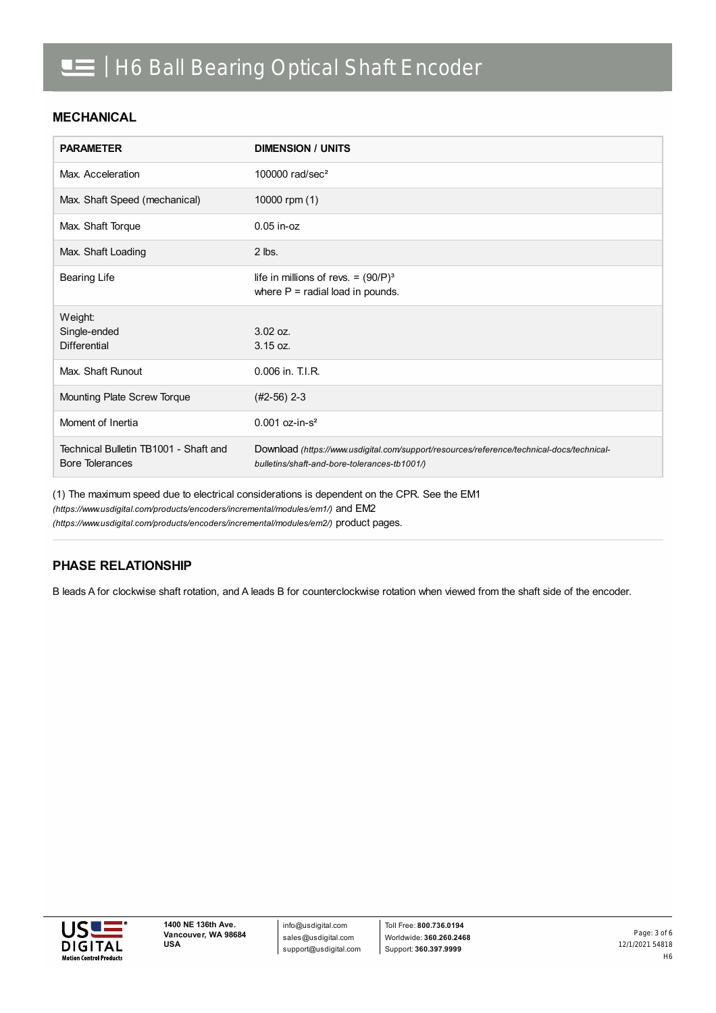#### **MECHANICAL**

| <b>PARAMETER</b>                                                | <b>DIMENSION / UNITS</b>                                                                                                                  |
|-----------------------------------------------------------------|-------------------------------------------------------------------------------------------------------------------------------------------|
| Max. Acceleration                                               | 100000 $rad/sec2$                                                                                                                         |
| Max. Shaft Speed (mechanical)                                   | 10000 rpm (1)                                                                                                                             |
| Max. Shaft Torque                                               | $0.05$ in- $oz$                                                                                                                           |
| Max. Shaft Loading                                              | $2$ lbs.                                                                                                                                  |
| <b>Bearing Life</b>                                             | life in millions of revs. = $(90/P)^3$<br>where $P =$ radial load in pounds.                                                              |
| Weight:                                                         |                                                                                                                                           |
| Single-ended                                                    | 3.02 oz.                                                                                                                                  |
| <b>Differential</b>                                             | $3.15$ oz.                                                                                                                                |
| Max. Shaft Runout                                               | 0.006 in. T.I.R.                                                                                                                          |
| Mounting Plate Screw Torque                                     | $(#2-56)$ 2-3                                                                                                                             |
| Moment of Inertia                                               | $0.001$ oz-in-s <sup>2</sup>                                                                                                              |
| Technical Bulletin TB1001 - Shaft and<br><b>Bore Tolerances</b> | Download (https://www.usdigital.com/support/resources/reference/technical-docs/technical-<br>bulletins/shaft-and-bore-tolerances-tb1001/) |

(1) The maximum speed due to electrical considerations is dependent on the CPR. See the EM1

*(https://www.usdigital.com/products/encoders/incremental/modules/em1/)* and EM2

*(https://www.usdigital.com/products/encoders/incremental/modules/em2/)* product pages.

#### **PHASE RELATIONSHIP**

B leads A for clockwise shaft rotation, and A leads B for counterclockwise rotation when viewed from the shaft side of the encoder.

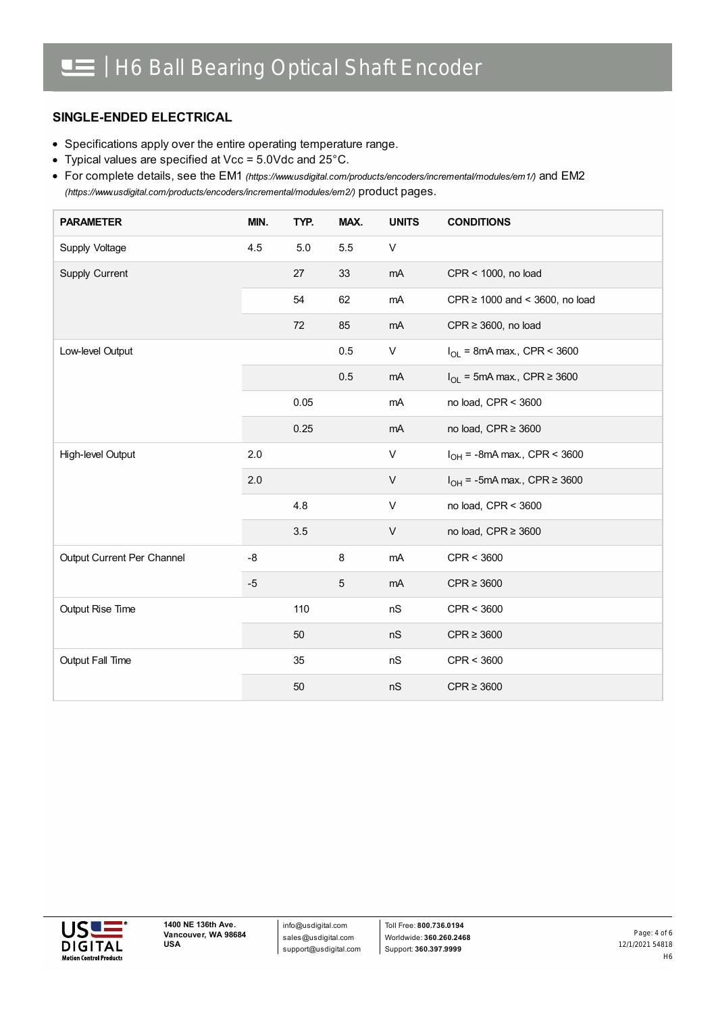#### **SINGLE-ENDED ELECTRICAL**

- Specifications apply over the entire operating temperature range.
- Typical values are specified at Vcc = 5.0Vdc and 25°C.

For complete details, see the EM1 *[\(https://www.usdigital.com/products/encoders/incremental/modules/em1/\)](https://www.usdigital.com/products/encoders/incremental/modules/em1/)* and EM2 *(https://www.usdigital.com/products/encoders/incremental/modules/em2/)* product pages.

| <b>PARAMETER</b>           | MIN. | TYP.    | MAX. | <b>UNITS</b> | <b>CONDITIONS</b>                     |
|----------------------------|------|---------|------|--------------|---------------------------------------|
| Supply Voltage             | 4.5  | $5.0\,$ | 5.5  | V            |                                       |
| Supply Current             |      | 27      | 33   | mA           | CPR < 1000, no load                   |
|                            |      | 54      | 62   | mA           | CPR $\geq$ 1000 and < 3600, no load   |
|                            |      | 72      | 85   | mA           | $CPR \geq 3600$ , no load             |
| Low-level Output           |      |         | 0.5  | V            | $I_{OL}$ = 8mA max., CPR < 3600       |
|                            |      |         | 0.5  | mA           | $I_{OL}$ = 5mA max., CPR $\geq$ 3600  |
|                            |      | 0.05    |      | mA           | no load, CPR < 3600                   |
|                            |      | 0.25    |      | mA           | no load, CPR ≥ 3600                   |
| High-level Output          | 2.0  |         |      | V            | $I_{OH}$ = -8mA max., CPR < 3600      |
|                            | 2.0  |         |      | V            | $I_{OH}$ = -5mA max., CPR $\geq$ 3600 |
|                            |      | 4.8     |      | V            | no load, CPR < 3600                   |
|                            |      | 3.5     |      | $\mathsf{V}$ | no load, CPR ≥ 3600                   |
| Output Current Per Channel | $-8$ |         | 8    | mA           | CPR < 3600                            |
|                            | $-5$ |         | 5    | mA           | $CPR \geq 3600$                       |
| Output Rise Time           |      | 110     |      | nS           | CPR < 3600                            |
|                            |      | 50      |      | nS           | $CPR \geq 3600$                       |
| Output Fall Time           |      | 35      |      | nS           | CPR < 3600                            |
|                            |      | 50      |      | nS           | $CPR \geq 3600$                       |

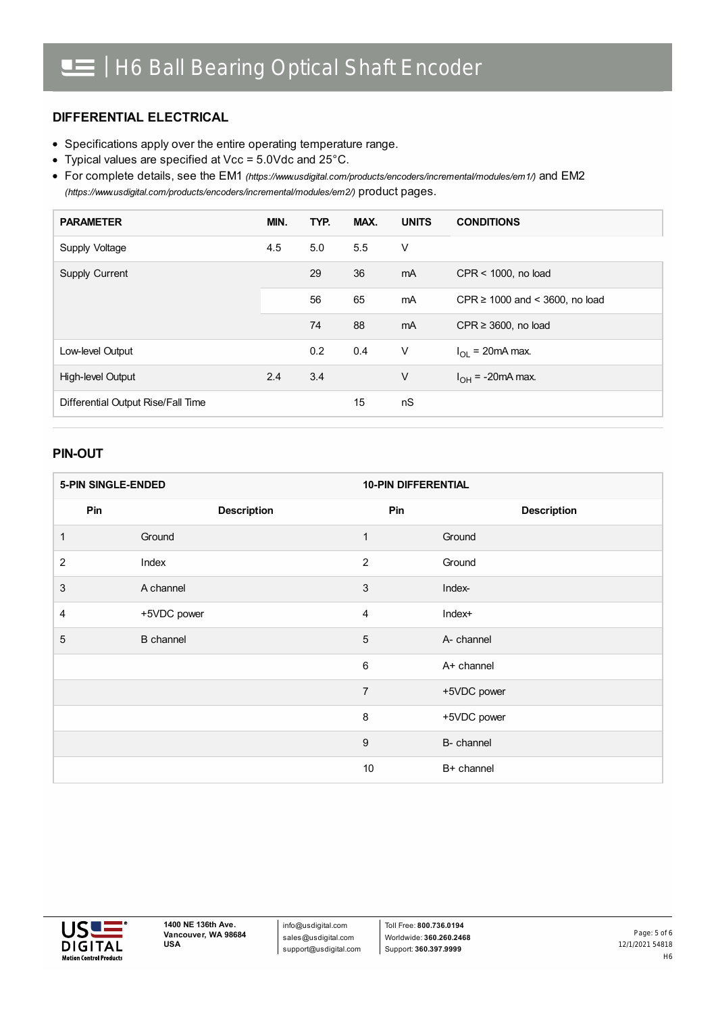#### **DIFFERENTIAL ELECTRICAL**

- Specifications apply over the entire operating temperature range.
- Typical values are specified at Vcc = 5.0Vdc and 25°C.

For complete details, see the EM1 *[\(https://www.usdigital.com/products/encoders/incremental/modules/em1/\)](https://www.usdigital.com/products/encoders/incremental/modules/em1/)* and EM2 *(https://www.usdigital.com/products/encoders/incremental/modules/em2/)* product pages.

| <b>PARAMETER</b>                   | MIN. | TYP. | MAX. | <b>UNITS</b> | <b>CONDITIONS</b>                   |
|------------------------------------|------|------|------|--------------|-------------------------------------|
| Supply Voltage                     | 4.5  | 5.0  | 5.5  | V            |                                     |
| Supply Current                     |      | 29   | 36   | mA           | CPR < 1000, no load                 |
|                                    |      | 56   | 65   | mA           | CPR $\geq$ 1000 and < 3600, no load |
|                                    |      | 74   | 88   | mA           | CPR $\geq$ 3600, no load            |
| Low-level Output                   |      | 0.2  | 0.4  | V            | $I_{OL}$ = 20mA max.                |
| High-level Output                  | 2.4  | 3.4  |      | V            | $I_{OH}$ = -20mA max.               |
| Differential Output Rise/Fall Time |      |      | 15   | nS           |                                     |

#### **PIN-OUT**

| <b>5-PIN SINGLE-ENDED</b> |                    | <b>10-PIN DIFFERENTIAL</b> |                    |
|---------------------------|--------------------|----------------------------|--------------------|
| Pin                       | <b>Description</b> | Pin                        | <b>Description</b> |
| 1                         | Ground             | 1                          | Ground             |
| $\overline{c}$            | Index              | $\overline{2}$             | Ground             |
| 3                         | A channel          | 3                          | Index-             |
| 4                         | +5VDC power        | $\overline{4}$             | Index+             |
| 5                         | <b>B</b> channel   | 5                          | A- channel         |
|                           |                    | 6                          | A+ channel         |
|                           |                    | $\overline{7}$             | +5VDC power        |
|                           |                    | $\, 8$                     | +5VDC power        |
|                           |                    | $\boldsymbol{9}$           | B- channel         |
|                           |                    | 10                         | B+ channel         |



info@usdigital.com sales@usdigital.com support@usdigital.com

Toll Free: **800.736.0194** Worldwide: **360.260.2468** Support: **360.397.9999**

12/1/2021 54818 H6 Page: 5 of 6